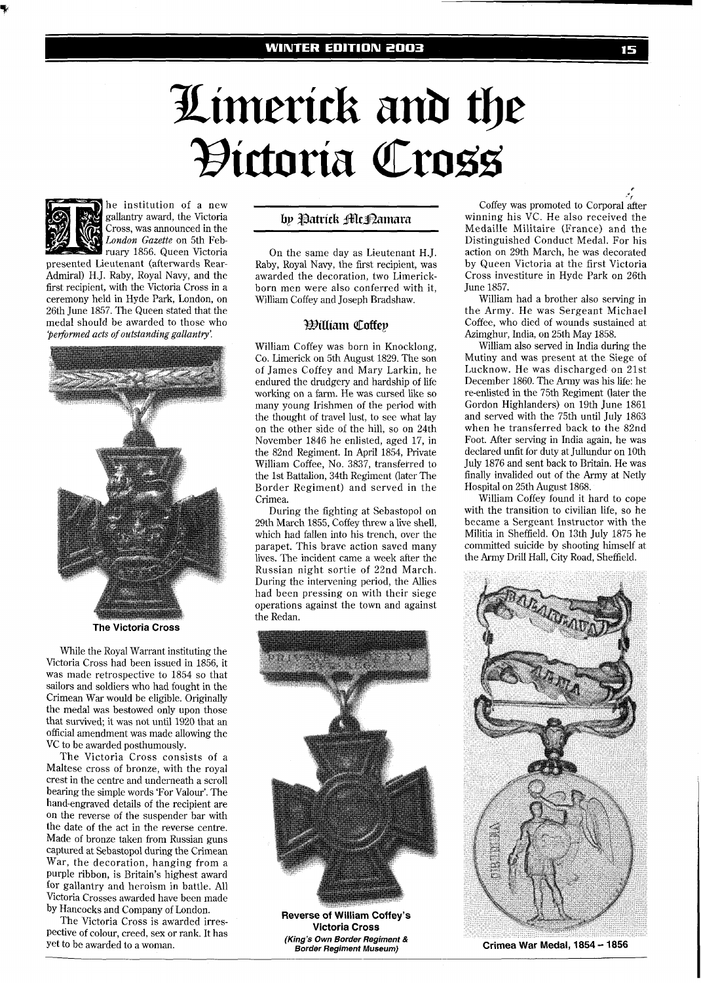# Limerick and the Hictoria Cross



he institution of a new gallantry award, the Victoria gallantry award, the Victoria *bp Patrick Alt Jumara* Cross, was announced in the *decomposition* 

*London Gazette* on 5th Feb-Admiral) H.J. Raby, Royal Navy, and the awarded the decoration, two Limerick-<br>first recipient, with the Victoria Cross in a born men were also conferred with it. first recipient, with the Victoria Cross in a born men were also conferred with it, ceremony held in Hyde Park. London, on William Coffey and Ioseph Bradshaw. 26th June 1857. The Queen stated that the medal should be awarded to those who medal should be awarded to those who *PDiUiam Coffep 'performed acts of outstanding gallantry'.* 



**The Victoria Cross** 

While the Royal Warrant instituting the Victoria Cross had been issued in 1856, it was made retrospective to 1854 so that sailors and soldiers who had fought in the Crimean War would be eligible. Originally the medal was bestowed only upon those that survived; it was not until 1920 that an official amendment was made allowing the VC to be awarded posthumously.

The Victoria Cross consists of a Maltese cross of bronze, with the royal crest in the centre and underneath a scroll bearing the simple words 'For Valour'. The hand-engraved details of the recipient are on the reverse of the suspender bar with the date of the act in the reverse centre. Made of bronze taken from Russian guns captured at Sebastopol during the Crimean War, the decoration, hanging from a purple ribbon, is Britain's highest award for gallantry and heroism in battle. All Victoria Crosses awarded have been made by Hancocks and Company of London.

The Victoria Cross is awarded irrespective of colour, creed, sex or rank. It has yet to be awarded to a woman.

The ruary 1856. Queen Victoria on the same day as Lieutenant H.J.<br>presented Lieutenant (afterwards Rear-Raby, Royal Navy, the first recipient, was presented Lieutenant (afterwards Rear- Raby, Royal Navy, the first recipient, was William Coffey and Joseph Bradshaw.

William Coffey was born in Knocklong, Co. Limerick on 5th August 1829. The son of James Coffey and Mary Larkin, he endured the drudgery and hardship of life working on a farm. He was cursed like so many young Irishmen of the period with the thought of travel lust, to see what lay on the other side of the hill, so on 24th November 1846 he enlisted, aged 17, in the 82nd Regiment. In April 1854, Private William Coffee, No. 3837, transferred to the 1st Battalion, 34th Regiment (later The Border Regiment) and served in the Crimea.

During the fighting at Sebastopol on 29th March 1855, Coffey threw a live shell, which had fallen into his trench, over the parapet. This brave action saved many lives. The incident came a week after the Russian night sortie of 22nd March. During the intervening period, the Allies had been pressing on with their siege operations against the town and against the Redan.



**Reverse of William Coffey's Victoria Cross (King's Own Border Regiment** & **Border Regiment Museum)** 

**'f**  Coffey was promoted to Corporal after winning his VC. He also received the Medaille Militaire (France) and the Distinguished Conduct Medal. For his action on 29th March, he was decorated by Queen Victoria at the first Victoria Cross investiture in Hyde Park on 26th June 1857.

William had a brother also serving in the Army. He was Sergeant Michael Coffee, who died of wounds sustained at Azimghur, India, on 25th May 1858.

William also served in India during the Mutiny and was present at the Siege of Lucknow. He was discharged on 21st December 1860. The Army was his life: he re-enlisted in the 75th Regiment (later the Gordon Highlanders) on 19th June 1861 and served with the 75th until July 1863 when he transferred back to the 82nd Foot. After serving in India again, he was declared unfit for duty at Jullundur on 10th July 1876 and sent back to Britain. He was finally invalided out of the Army at Netly Hospital on 25th August 1868.

William Coffey found it hard to cope with the transition to civilian life, so he became a Sergeant Instructor with the Militia in Sheffield. On 13th July 1875 he committed suicide by shooting himself at the Army Drill Hall, City Road, Sheffield.



**Crimea War Medal, 1854** - **1856** 

**P**